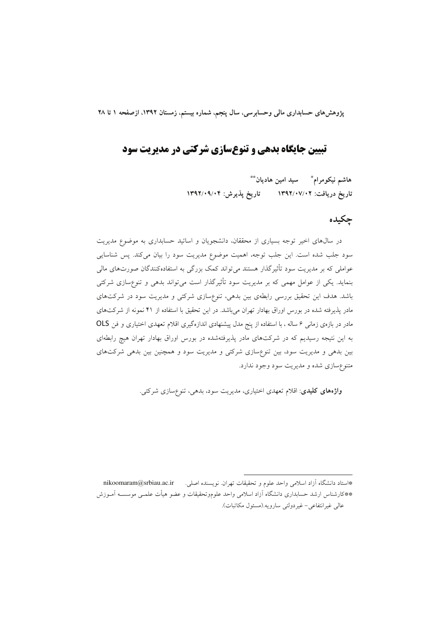یژوهش های حسابداری مالی وحسابرسی، سال پنجم، شماره بیستم، زمستان ۱۳۹۲، ازصفحه ۱ تا ۲۸

## **تبیین جایگاه بدهی و تنوعسازی شرکتی در مدیریت سود**

هاشم نیکومرام ؓ سید امین هادیان ؓ تاریخ دریافت: ۱۳۹۲/۰۷/۰۲ تاریخ پذیرش: ۱۳۹۲/۰۹/۰۴

### چکیده

در سالهای اخیر توجه بسیاری از محققان، دانشجویان و اساتید حسابداری به موضوع مدیریت سود جلب شده است. این جلب توجه، اهمیت موضوع مدیریت سود را بیان میکند. پس شناسایی عواملی که بر مدیریت سود تأثیرگذار هستند میتواند کمک بزرگی به استفادهکنندگان صورتهای مالی بنماید. یکی از عوامل مهمی که بر مدیریت سود تأثیرگذار است میتواند بدهی و تنوع،سازی شرکتی باشد. هدف این تحقیق بررسی رابطهی بین بدهی، تنوعسازی شرکتی و مدیریت سود در شرکتهای مادر پذیرفته شده در بورس اوراق بهادار تهران میباشد. در این تحقیق با استفاده از ۴۱ نمونه از شرکتهای مادر در بازهی زمان<sub>ی</sub> ۶ ساله ، با استفاده از پنج مدل پیشنهادی اندازهگیری اقلام تعهدی اختیاری و فن OLS به این نتیجه رسیدیم که در شرکتهای مادر پذیرفتهشده در بورس اوراق بهادار تهران هیچ رابطهای بین بدهی و مدیریت سود، بین تنوعسازی شرکتی و مدیریت سود و همچنین بین بدهی شرکتهای متنوع سازی شده و مدیریت سود وجود ندارد.

**واژههای کلیدی**: اقلام تعهدی اختیاری، مدیریت سود، بدهی، تنوعسازی شرکتی.

nikoomaram@srbiau.ac.ir \*استاد دانشگاه آزاد اسلامی واحد علوم و تحقیقات تهران. نویسنده اصلی. \*\*كارشناس ارشد حسابدارى دانشگاه آزاد اسلامى واحد علوموتحقيقات و عضو هيأت علمـى موسســه آمــوزش عالى غيرانتفاعي- غيردولتي سارويه.(مسئول مكاتبات).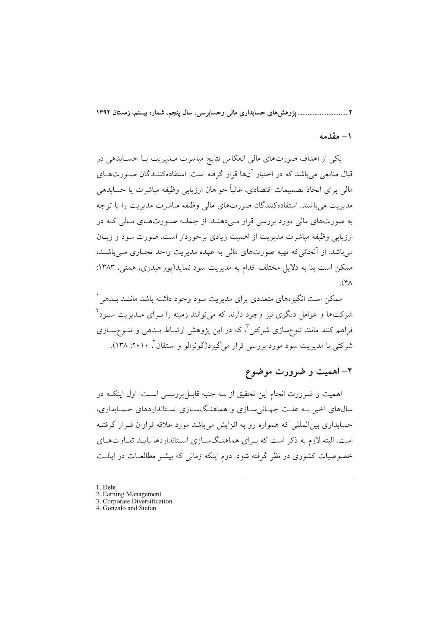۲ .............................. پژوهش های حسابداری مالی وحسابرسی، سال پنجم، شماره بیستم، زمستان ۱۳۹۲

#### ١ – مقدمه

یکی از اهداف صورتهای مالی انعکاس نتایج مباشرت مـدیریت یـا حسـابدهی در قبال منابعی می باشد که در اختیار آنها قرار گرفته است. استفادهکننـدگان صـورتهـای مالی برای اتخاذ تصمیمات اقتصادی، غالباً خواهان ارزیابی وظیفه مباشرت یا حسابدهی مدیریت می باشند. استفادهکنندگان صورتهای مالی وظیفه مباشرت مدیریت را با توجه په صورتهای مالی مورد پررسی قرار مے دهنید. از جملیه صبورتهیای میالی کیه در ارزیابے وظیفه مباشرت مدیریت از اهمیت زیادی برخوردار است، صورت سود و زیبان می باشد. از آنجائی که تهیه صورتهای مالی به عهده مدیریت واحد تجـاری مـیباشـد، ممکن است بنا به دلایل مختلف اقدام به مدیریت سود نماید(یورحیدری، همتی، ۱۳۸۳:  $(\mathfrak{h}\Lambda)$ 

ممکن است انگیزههای متعددی برای مدیریت سود وجود داشته باشد ماننـد بــدهـ ِ ` شرکتها و عوامل دیگری نیز وجود دارند که می توانند زمینه را بـرای مـدیریت سـود ۲ فراهم کنند مانند تنوعسازی شرکتی"، که در این پژوهش ارتبـاط بــدهی و تنــوعِســازی شرکتی با مدیریت سود مورد بررسی قرار می گیرد(گونزالو و استفان ٔ، ۲۰۱۰: ۱۳۸).

## ۲- اهمیت و ضرورت موضوع

اهمیت و ضرورت انجام این تحقیق از سه جنبه قابـلبررســی اسـت: اول اینکـه در سالهای اخیر بـه علـت جهـانیسـازی و هماهنـگسـازی اسـتانداردهای حسـابداری، حسابداری بین|لمللی که همواره رو به افزایش میباشد مورد علاقه فراوان قـرار گرفتـه است. البته لازم به ذکر است که ب ای هماهنگسیازی استانداردها باید تفیاوتهیای خصوصیات کشوری در نظر گرفته شود. دوم اینکه زمانی که بیشتر مطالعـات در ایالـت

- 1. Debt
- 2. Earning Management
- 3. Corporate Diversification
- 4. Gonzalo and Stefan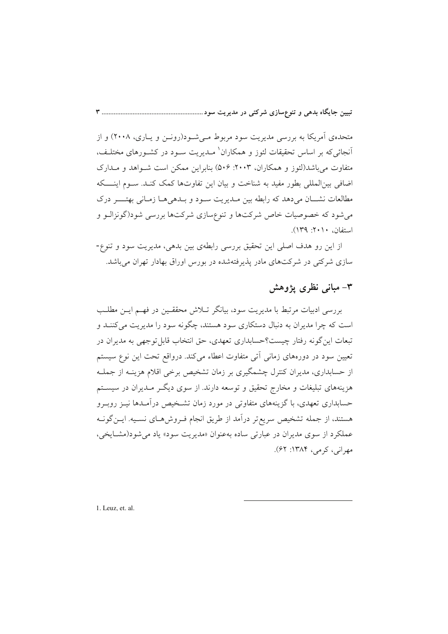متحدهی آمریکا به بررسی مدیریت سود مربوط مے شیود(رونین و پیاری، ۲۰۰۸) و از آنجائیکه بر اساس تحقیقات لئوز و همکاران<sup>۱</sup> مــدیریت ســود در کشــورهای مختلــف، متفاوت می باشد(لئوز و همکاران، ۲۰۰۳: ۵۰۶) بنابراین ممکن است شـواهد و مـدارک اضافی بین|لمللی بطور مفید به شناخت و بیان این تفاوتها کمک کنـد. ســوم اینــــکه مطالعات نشــان مىدهد كه رابطه بين مـديريت سـود و بـدهىهـا زمـانى بهتــــر درك می شود که خصوصیات خاص شرکتها و تنوعسازی شرکتها بررسی شود(گونزالـو و استفان، ۲۰۱۰: ۱۳۹).

از این رو هدف اصلی این تحقیق بررسی رابطهی بین بدهی، مدیریت سود و تنوع-سازی شرکتی در شرکتهای مادر پذیرفتهشده در بورس اوراق بهادار تهران میباشد.

## ۳– مبانی نظری یژوهش

بررسی ادبیات مرتبط با مدیریت سود، بیانگر تـلاش محققـین در فهـم ایـن مطلـب است که چرا مدیران به دنبال دستکاری سود هستند، چگونه سود را مدیریت میکننـد و تبعات این گونه رفتار چیست؟حسابداری تعهدی، حق انتخاب قابل توجهی به مدیران در تعیین سود در دورههای زمانی آتی متفاوت اعطاء میکند. درواقع تحت این نوع سیستم از حسابداری، مدیران کنترل چشمگیری بر زمان تشخیص برخی اقلام هزینـه از جملـه هزینههای تبلیغات و مخارج تحقیق و توسعه دارند. از سوی دیگـر مــدیران در سیســتم حسابداری تعهدی، با گزینههای متفاوتی در مورد زمان تشـخیص درآمـدها نیــز روبــرو هستند، از جمله تشخیص سریعتر درآمد از طریق انجام فـروش۵حای نسـیه. ایــنگونــه عملکرد از سوی مدیران در عبارتی ساده بهعنوان «مدیریت سود» یاد می شود(مشـایخی، مهراني، کرمي، ۱۳۸۴: ۶۲).

1. Leuz. et. al.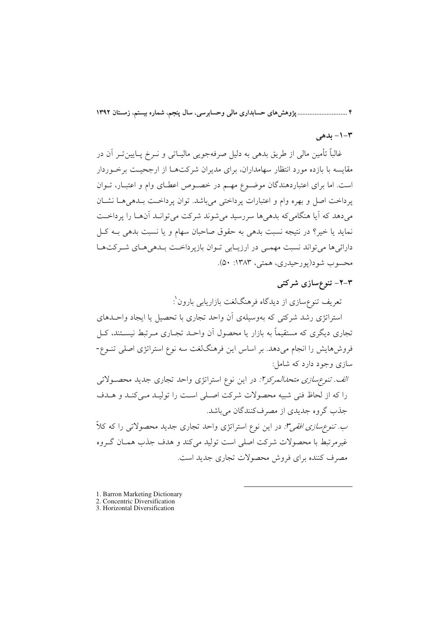۴ ............................. پژوهش های حسابداری مالی وحسابرسی، سال پنجم، شماره بیستم، زمستان ۱۳۹۲

## $-1 - 7$ بدهی

غالباً تأمین مالی از طریق بدهی به دلیل صرفهجویی مالیـاتی و نــرخ پــایینتــر اَن در مقایسه با بازده مورد انتظار سهامداران، برای مدیران شرکتهـا از ارجحیـت برخـوردار است. اما برای اعتباردهندگان موضوع مهـم در خصـوص اعطـای وام و اعتبـار، تــوان يرداخت اصل و بهره وام و اعتبارات يرداختي مي باشد. توان يرداخـت بـدهي هـا نشـان میدهد که آیا هنگامیکه بدهیها سررسید میشوند شرکت میتوانـد آنهـا را پرداخـت نمايد يا خير؟ در نتيجه نسبت بدهي به حقوق صاحبان سهام و يا نسبت بدهي بــه كــل دارائیها میتواند نسبت مهمی در ارزیابی توان بازپرداخت بلدهی های شرکتها محسوب شو د(يورحيدري، همتي، ١٣٨٣: ۵٠).

#### ۲–۲– تنوعسازی شرکتبی

تعریف تنوع سازی از دیدگاه فرهنگلغت بازاریابی بارون`:

استراتژی رشد شرکتی که بهوسیلهی اَن واحد تجاری با تحصیل یا ایجاد واحـدهای تجاری دیگری که مستقیماً به بازار یا محصول آن واحـد تجـاری مـرتبط نیســتند، کــل فروشهایش را انجام میدهد. بر اساس این فرهنگلغت سه نوع استراتژی اصلی تنــوع-سازي وجود دارد که شامل:

الف. تنوع سازی متحدالمرکزا: در این نوع استراتژی واحد تجاری جدید محصولاتی را كه از لحاظ فني شبيه محصولات شركت اصلى است را توليـد مـى كنـد و هـدف جذب گروه جدیدی از مصرفکنندگان میباشد.

*ب. تنوعِسازي افقي":* در اين نوع استراتژي واحد تجاري جديد محصولاتي را كه كلاً غیرمرتبط با محصولات شرکت اصلی است تولید می کند و هدف جذب همـان گـروه مصرف کننده برای فروش محصولات تجاری جدید است.

- 1. Barron Marketing Dictionary
- 2. Concentric Diversification
- 3. Horizontal Diversification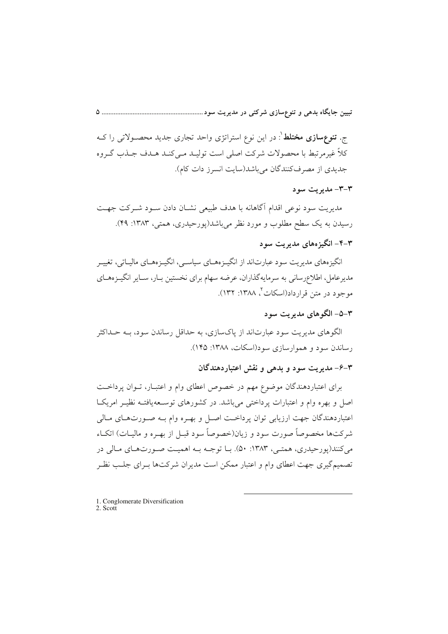ج. **تنوعِسازی مختلط** ٰ: در این نوعِ استراتژی واحد تجاری جدید محصـولاتی را کــه کلاً غیرمرتبط با محصولات شرکت اصلی است تولیـد مـی کنـد هـدف جـذب گـروه جدیدی از مصرفکنندگان می باشد(سایت انسرز دات کام).

#### ٣-٣- مديريت سود

مدیریت سود نوعی اقدام أگاهانه با هدف طبیعی نشـان دادن سـود شـرکت جهـت رسیدن به یک سطح مطلوب و مورد نظر میباشد(پورحیدری، همتی، ۱۳۸۳: ۴۹).

## ۴-۴- انگیز مهای مدیریت سود

انگیزههای مدیریت سود عبارتاند از انگیـزههـای سیاسـی، انگیـزههـای مالیـاتی، تغییـر مدیرعامل، اطلاعرسانی به سرمایهگذاران، عرضه سهام برای نخستین بـار، سـایر انگیــزههــای موجود در متن قرارداد(اسکات<sup>۲</sup>، ۱۳۸۸: ۱۳۲).

#### ۳–۵– الگوهای مدیریت سود

الگوهای مدیریت سود عبارتاند از پاکسازی، به حداقل رساندن سود، بــه حــداکثر رساندن سود و هموارسازی سود(اسکات، ۱۳۸۸: ۱۴۵).

۴–۶– مدیریت سود و بدهی و نقش اعتباردهندگان

برای اعتباردهندگان موضوع مهم در خصوص اعطای وام و اعتبـار، تـوان پرداخـت اصل و بهره وام و اعتبارات پرداختی میباشد. در کشورهای توسـعهیافتـه نظیـر امریکـا اعتباردهندگان جهت ارزيابي توان يرداخـت اصـل و بهـره وام بـه صـورتهـاي مـالي شرکتها مخصوصاً صورت سود و زیان(خصوصاً سود قبــل از بهــره و مالیــات) اتکــاء می کنند(یو رحیدری، همتبی، ۱۳۸۳: ۵۰). بیا توجیه بیه اهمیت صبورتهبای مبالی در تصمیمگیری جهت اعطای وام و اعتبار ممکن است مدیران شرکتها بـرای جلـب نظـر

1. Conglomerate Diversification  $\frac{1}{2}$ . Scott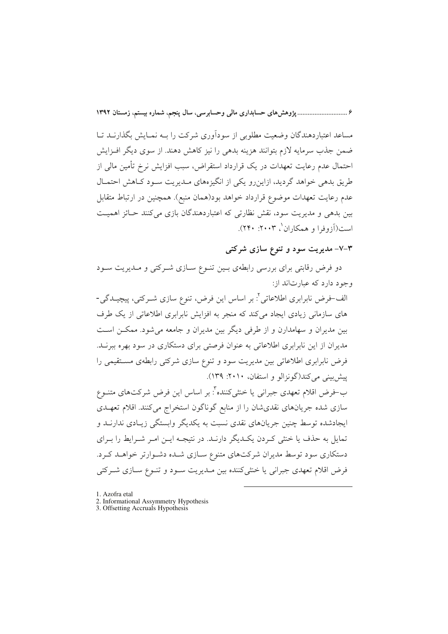۶ .............................. پژوهش های حسابداری مالی وحسابرسی، سال پنجم، شماره بیستم، زمستان ۱۳۹۲

مساعد اعتبار دهندگان وضعت مطلوبی از سودآوری شرکت را سه نمیایش یگذارنید تیا ضمن جذب سرمایه لازم بتوانند هزینه بدهی را نیز کاهش دهند. از سوی دیگر افـزایش احتمال عدم رعایت تعهدات در یک قرارداد استقراض، سبب افزایش نرخ تأمین مالی از طریق بدهی خواهد گردید، ازاین رو یکی از انگیزههای مـدیریت سـود کـاهش احتمـال عدم رعايت تعهدات موضوع قرارداد خواهد بود(همان منبع). همچنين در ارتباط متقابل بین بدهی و مدیریت سود، نقش نظارتی که اعتباردهندگان بازی می کنند حـائز اهمیـت است(أزوفرا و همكاران `، ۲۰۰۳: ۲۴۰).

۳–۷– مدیریت سود و تنوع سازی شرکتی

دو فرض رقابتی برای بررسی رابطهی بـین تنـوع سـازی شـرکتی و مـدیریت سـود وجود دارد که عبارتاند از:

الف-فرض نابرابری اطلاعاتی<sup>٬</sup>: بر اساس این فرض، تنوع سازی شــرکتی، پیچــدگی-های سازمانی زیادی ایجاد می کند که منجر به افزایش نابرابری اطلاعاتی از یک طرف بین مدیران و سهامدارن و از طرفی دیگر بین مدیران و جامعه میشود. ممکــن اسـت مدیران از این نابرابری اطلاعاتی به عنوان فرصتی برای دستکاری در سود بهره ببرنـد. فرض نابرابری اطلاعاتی بین مدیریت سود و تنوع سازی شرکتی رابطهی مستقیمی را پیش بینی می کند(گونزالو و استفان، ۲۰۱۰: ۱۳۹).

ب-فرض اقلام تعهدي جبراني يا خنثيكننده": بر اساس اين فرض شركتهاي متنــوع سازی شده جریانهای نقدیشان را از منابع گوناگون استخراج میکنند. اقلام تعهـدی ایجادشده توسط چنین جریانهای نقدی نسبت به یکدیگر وابستگی زیـادی ندارنــد و تمایل به حذف یا خنثی کـردن یکـدیگر دارنـد. در نتیجـه ایـن امـر شـرایط را بـرای دستکاری سود توسط مدیران شرکتهای متنوع سـازی شـده دشـوارتر خواهـد کـرد. فرض اقلام تعهدي جبراني يا خنثى كننده بين مـديريت سـود و تنـوع سـازى شـركتي

- 1. Azofra etal
- 2. Informational Assymmetry Hypothesis<br>3. Offsetting Accruals Hypothesis
-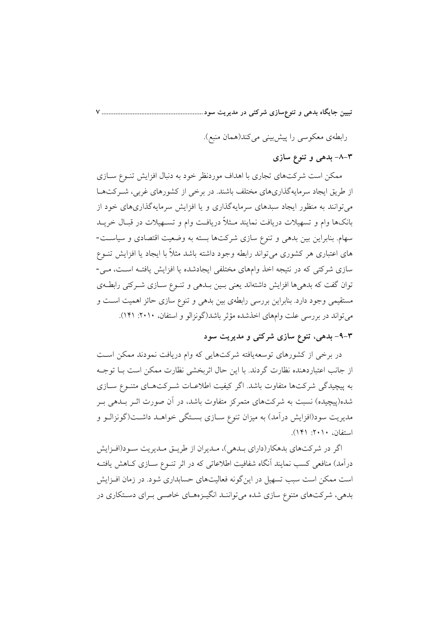رابطهي معكوسي را پيش بيني مي كند(همان منبع).

۳–۸– بدهی و تنوع سازی

ممکن است شرکتهای تجاری با اهداف موردنظر خود به دنبال افزایش تنـوع سـازی از طریق ایجاد سرمایهگذاریهای مختلف باشند. در برخی از کشورهای غربی، شـرکتهـا میتوانند به منظور ایجاد سبدهای سرمایهگذاری و یا افزایش سرمایهگذاریهای خود از بانکها وام و تسهیلات دریافت نمایند مـثلاً دریافـت وام و تسـهیلات در قبـال خریــد سهام. بنابراین بین بدهی و تنوع سازی شرکتها بسته به وضعیت اقتصادی و سیاست-های اعتباری هر کشوری می تواند رابطه وجود داشته باشد مثلاً با ایجاد یا افزایش تنــوع سازی شرکتی که در نتیجه اخذ وامهای مختلفی ایجادشده یا افزایش یافتـه اسـت، مـی-توان گفت که بدهی ها افزایش داشتهاند یعنی بسین بــدهی و تنــوع ســازی شــرکتی رابطــهی مستقیمی وجود دارد. بنابراین بررسی رابطهی بین بدهی و تنوع سازی حائز اهمیت است و میتواند در بررسی علت وامهای اخذشده مؤثر باشد(گونزالو و استفان، ۲۰۱۰: ۱۴۱).

۴–۹– بدهی، تنوع سازی شرکتی و مدیریت سود

در برخی از کشورهای توسعهیافته شرکتهایی که وام دریافت نمودند ممکن است از جانب اعتباردهنده نظارت گردند. با این حال اثربخشی نظارت ممکن است بــا توجــه به پیچیدگی شرکتها متفاوت باشد. اگر کیفیت اطلاعـات شـرکتهـای متنـوع سـازی شده(پیچیده) نسبت به شرکتهای متمرکز متفاوت باشد، در اَن صورت اثــر بــدهی بــر مدیریت سود(افزایش درآمد) به میزان تنوع ســازی بســتگی خواهــد داشــت(گونزالــو و استفان، ۲۰۱۰: ۱۴۱).

اگر در شرکتهای بدهکار(دارای بـدهی)، مـدیران از طریـق مـدیریت سـود(افـزایش درآمد) منافعی کسب نمایند اَنگاه شفافیت اطلاعاتی که در اثر تنــوع ســازی کــاهش یافتــه است ممکن است سبب تسهیل در اینگونه فعالیتهای حسابداری شود. در زمان افـزایش بدهی، شرکتهای متنوع سازی شده می تواننـد انگیـزههـای خاصـی بـرای دسـتکاری در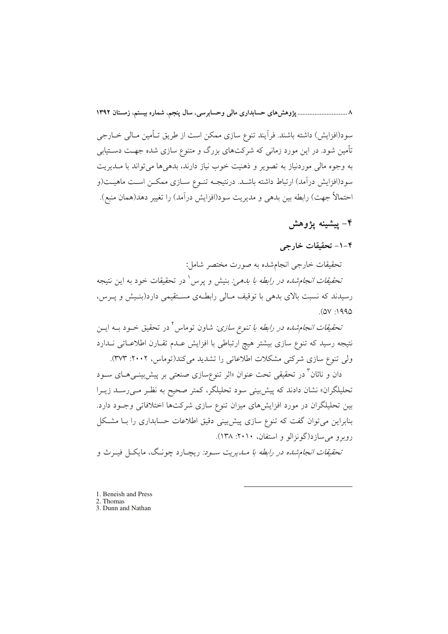۸ .............................. پژوهش های حسابداری مالی وحسابرسی، سال پنجم، شماره بیستم، زمستان ۱۳۹۲

سود(افزايش) داشته باشند. فرآيند تنوع سازي ممكن است از طريق تـأمين مـالي خــارجي تأمین شود. در این مورد زمانی که شرکتهای بزرگ و متنوع سازی شده جهت دسـتیابی به وجوه مالی موردنیاز به تصویر و ذهنیت خوب نیاز دارند، بدهیها میتواند با مــدیریت سود(افزایش درآمد) ارتباط داشته باشـد. درنتیجــه تنــوع ســازی ممکــن اســت ماهیــت(و احتمالاً جهت) رابطه بین بدهی و مدیریت سود(افزایش درآمد) را تغییر دهد(همان منبع).

## ۴– پیشینه یژوهش

### ۰۱–۴ تحقیقات خارجی

تحقیقات خارجی انجامشده به صورت مختصر شامل:

*تحقیقات انجامشده در رابطه با بدهی:* بنیش و پرس<sup>۱</sup> در تحقیقات خود به این نتیجه رسیدند که نسبت بالای بدهی با توقیف مـالی رابطـهی مسـتقیمی دارد(بنـیش و پـرس،  $(0V \cdot 1990$ 

*تحقیقات انجام شده در رابطه با تنوع سازی:* شاون توماس<sup>۲</sup> در تحقیق خــود بــه ایــن نتیجه رسید که تنوع سازی بیشتر هیچ ارتباطی با افزایش عـدم تقـارن اطلاعـاتی نــدارد ولی تنوع سازی شرکتی مشکلات اطلاعاتی را تشدید میکند(توماس، ۲۰۰۲: ۳۷۳).

دان و ناثان<sup>۳</sup> در تحقیقی تحت عنوان «اثر تنوعٖسازی صنعتی بر پیشبییههـای ســود تحلیلگران» نشان دادند که پیش بینی سود تحلیلگر، کمتر صحیح به نظـر مـیرســد زیــرا بین تحلیلگران در مورد افزایشهای میزان تنوع سازی شرکتها اختلافاتی وجـود دارد. بنابراین می توان گفت که تنوع سازی پیش بینی دقیق اطلاعات حسابداری را بـا مشـکل رويو و مي سازد(گونزالو و استفان، ٢٠١٠: ١٣٨).

تح*قیقات انجام شده در رابطه با مـدی*ریت سـود. ریچـارد چونـگ، مایکـل فیـرث و

- 1. Beneish and Press
- 2. Thomas
- 3. Dunn and Nathan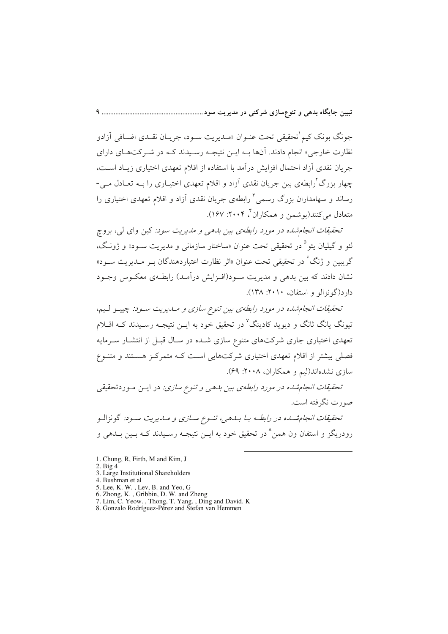جونگ بونک کیم ٰتحقیقی تحت عنـوان «مـدیریت سـود، جریـان نقـدی اضـافی اَزادو نظارت خارجی» انجام دادند. آنها بــه ایــن نتیجــه رســیدند کــه در شــر کتهــای دارای جریان نقدی أزاد احتمال افزایش درآمد با استفاده از اقلام تعهدی اختیاری زیـاد اسـت، چهار بزرگ ْرابطهی بین جریان نقدی اَزاد و اقلام تعهدی اختیــاری را بــه تعــادل مــی-رساند و سهامداران بزرگ رسمی<sup>۳</sup> رابطهی جریان نقدی آزاد و اقلام تعهدی اختیاری را متعادل میکنند(بوشمن و همکاران ٌ ۲۰۰۴: ۱۶۷).

تحقیقات انجام شده در مورد رابطهی بین بدهی و مدیریت سود: کین وای لی، بروج لئو و گيليان يئو ° در تحقيقي تحت عنوان «ساختار سازماني و مديريت سـود» و ژونـگ، گريسن و ژنگ<sup>ع د</sup>در تحقيقي تحت عنوان «اثر نظارت اعتباردهندگان ب ميديريت سيود» نشان دادند که بین بدهی و مدیریت سـود(افـزایش درآمـد) رابطـهی معکـوس وجـود دار د(گونزالو و استفان، ۲۰۱۰: ۱۳۸).

تحقیقات انجام شده در مورد رابطهی بین تنوع سازی و مـدیریت سـود: چیپـو لـیم، تیونگ یانگ ثانگ و دیوید کادینگ<sup>۷</sup> در تحقیق خود به ایــن نتیجــه رســیدند کــه اقــلام تعهدی اختیاری جاری شرکتهای متنوع سازی شـده در سـال قبـل از انتشـار سـرمایه فصلی بیشتر از اقلام تعهدی اختیاری شرکتهایی است کـه متمرکـز هسـتند و متنـوع سازی نشدهاند(لیم و همکاران، ۲۰۰۸: ۶۹).

تحقیقات انجام شده در مورد رابطهی بین بدهی و تنوع سازی: در ایـن مـوردتحقیقی صورت نگرفته است.

تحقیقات انجام شده در رابطـه بـا بـدهی، تنـوع سـازی و مـدیریت سـود: گونزالـو , و در ىگىز و استفان ون همېن<sup>۸</sup> در تحقيق خود به ايــن نتيجــه رســيدند كــه بــين بــدهـي و

- 1. Chung, R, Firth, M and Kim, J
- $2. Big 4$
- 3. Large Institutional Shareholders
- 4. Bushman et al
- 
- 
- F. Dusinian et al.<br>
5. Lee, K. W. , Lev, B. and Yeo, G<br>
6. Zhong, K. , Gribbin, D. W. and Zheng<br>
7. Lim, C. Yeow. , Thong, T. Yang. , Ding and David. K<br>
8. Gonzalo Rodríguez-Pérez and Stefan van Hemmen
-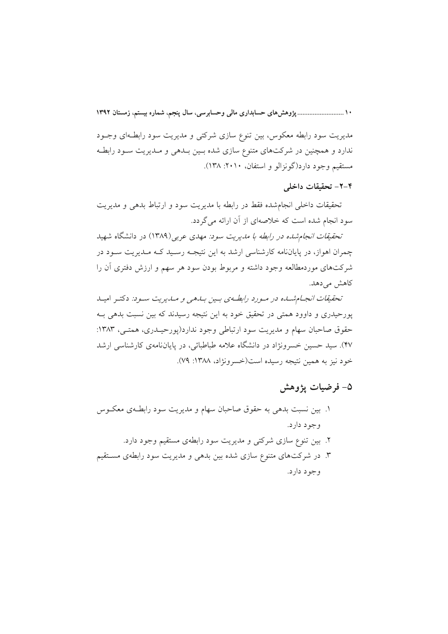مديريت سود رابطه معكوس، بين تنوع سازي شركتي و مديريت سود رابطـهاي وجـود ندارد و همچنین در شرکتهای متنوع سازی شده بـین بـدهی و مـدیریت سـود رابطـه مستقيم وجود دارد(گونزالو و استفان، ٢٠١٠: ١٣٨).

#### ۴-۲- تحقیقات داخلی

تحقیقات داخلی انجامشده فقط در رابطه با مدیریت سود و ارتباط بدهی و مدیریت سود انجام شده است که خلاصهای از آن ارائه میگردد.

*تحقیقات انجام شده در رابطه با مدیریت سود: مهدی عربی (*۱۳۸۹) در دانشگاه شهید چمران اهواز، در پایاننامه کارشناسی ارشد به این نتیجـه رسـید کـه مـدیریت سـود در شرکتهای موردمطالعه وجود داشته و مربوط بودن سود هر سهم و ارزش دفتری آن را کاهش مے دهد.

تحقیقات انجام شده در مورد رابط وی بسین بیدهی و میدیریت سود: دکتیر امیید پورحیدری و داوود همتی در تحقیق خود به این نتیجه رسیدند که بین نسبت بدهی بـه حقوق صاحبان سهام و مديريت سود ارتباطي وجود ندارد(يورحيـدري، همتـي، ١٣٨٣: ۴۷). سید حسین خسرونژاد در دانشگاه علامه طباطبائی، در پایاننامهی کارشناسی ارشد خود نيز به همين نتيجه رسيده است(خسرونژاد، ١٣٨٨: ٧٩).

## ۵– فرضيات يژوهش

۱. بین نسبت بدهی به حقوق صاحبان سهام و مدیریت سود رابطـهی معکــوس وجود دارد. ۲. بین تنوع سازی شرکتی و مدیریت سود رابطهی مستقیم وجود دارد. ۳. در شرکتهای متنوع سازی شده بین بدهی و مدیریت سود رابطهی مستقیم وجود دارد.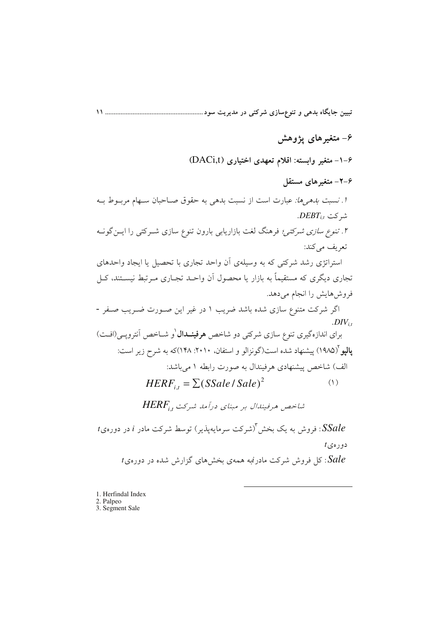## ۶– متغیرهای یژوهش

۶–۱– متغیر وابسته: اقلام تعهدی اختیاری (DACi,t)

۶–۲– متغیر های مستقل

*اً. نسبت بدهیها: ع*بارت است از نسبت بدهی به حقوق صـاحبان سـهام مربــوط بــه  $DEBT_{i,t}$  شر کت

۲. *تنوع سازی شرکتی؛ ف*رهنگ لغت بازاریابی بارون تنوع سازی شـرکتی را ایــنگونــه تعريف مي كند:

استراتژی رشد شرکتی که به وسیلهی آن واحد تجاری با تحصیل یا ایجاد واحدهای تجاری دیگری که مستقیماً به بازار یا محصول آن واحـد تجـاری مـرتبط نیســتند، کــل فروش هایش را انجام می دهد.

اگر شرکت متنوع سازی شده باشد ضریب ۱ در غیر این صورت ضـریب صـفر - $. DIV_{i,t}$ 

برای اندازهگیری تنوع سازی شرکتی دو شاخص **هرفینــدال** <sup>(</sup>و شــاخص آنترویــی(افــت) **یالیو** (۱۹۸۵) پیشنهاد شده است(گونزالو و استفان، ۲۰۱۰: ۱۴۸)که به شرح زیر است: الف) شاخص پیشنهادی هرفیندال به صورت رابطه ۱ می باشد:

 $HERF_{i} = \sum (SSale / Sale)^2$  $(1)$ 

شاخص هرفیندال بر مبنای درآمد شرکت, HERF

 $t$  : فروش به یک بخش آ(شرکت سرمایهیذیر) توسط شرکت مادر  $i$  در دوره $t$  :  $t$ دورەي : کا فروش شرکت مادرنمبه همهی بخش های گزارش شده در دورهی  $\emph{false}$ 

1. Herfindal Index 2. Palpeo 3. Segment Sale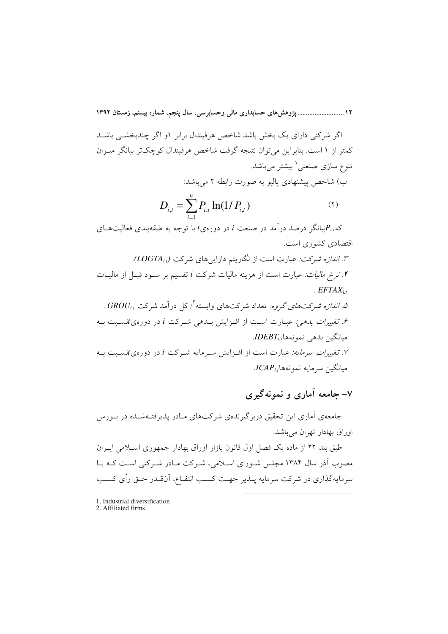١٢ ........................... يژوهش هاي حسابداري مالي وحسابرسي، سال ينجم، شماره بيستم، زمستان ١٣٩٢

اگر شرکتی دارای یک بخش باشد شاخص هرفیندال برابر ۱و اگر چندبخشبی باشـد کمتر از ۱ است. بنابراین می توان نتیجه گرفت شاخص هرفیندال کوچکتر بیانگر میـزان ۔<br>تنوع سازی صنعتی<sup>(</sup> بیشتر مے باشد. ب) شاخص پیشنهادی پالیو به صورت رابطه ۲ میباشد:

$$
D_{i,t} = \sum_{i=1}^{n} P_{i,t} \ln(1/P_{i,t})
$$
 (1)

که $P_{i,t}$ لیپانگر درصد درآمد در صنعت i در دورهیt با توجه به طبقهبندی فعالیتهــای اقتصادی کشوری است.

. "*الندازه شركت: عب*ارت است از لگاریتم دارایی های شركت (LOGTA<sub>it</sub>). ۰۴. *نرخ مالیات: عبارت است از ه*زینه مالیات شرکت i تقسیم بر سـود قبـل از مالیــات  $EFTAX_{i}$ . اندازه شرکتهای گروه: تعداد شرکتهای وابسته $'$  کل درآمد شرکت  $GRU_{i,t}$  . ۶. تغییر*ات بدهی: عب*ـارت اســت از افــزایش بــدهی شــرکت i در دورهیtنســبت بــه  $IDEBT_{i,t}$ ميانگين بدهي نمونهها ۰٪ تغییر*ات سرمایه: عبارت است از افـزایش سـر*مایه شـرکت i در دورهیtنسـبت بـه

 $ICAP_{i,t}$ مبانگین سرمایه نمونههای

# ۷- حامعه آماري و نمونه گېري

جامعهی آماری این تحقیق دربر گیرندهی شرکتهای مبادر پذیرفتـهشـده در بـورس اوراق بهادار تهران می باشد.

طبق بند ٢٢ از ماده یک فصل اول قانون بازار اوراق بهادار جمهوری اسلامی ایــران مصوب آذر سال ۱۳۸۴ مجلس شـورای اسـلامی، شـرکت مـادر شـرکتی اسـت کـه بـا سرمایهگذاری در شرکت سرمایه پــذیر جهــت کســب انتفــاع، آنıقــدر حــق رأى کســب

1. Industrial diversification 2. Affiliated firms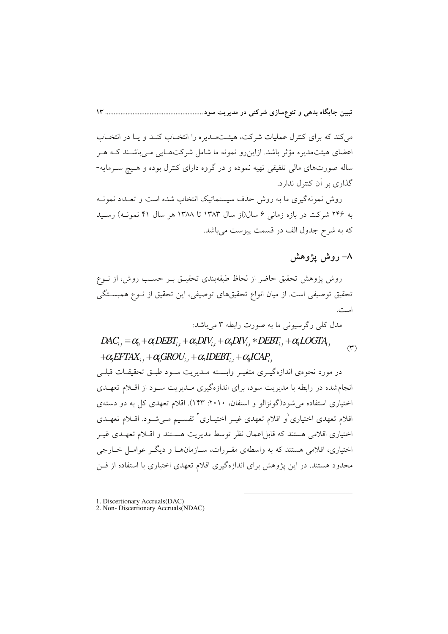می کند که برای کنترل عملیات شرکت، هیئت میدیره را انتخباب کنید و بیا در انتخباب اعضای هیئتمدیره مؤثر باشد. ازاین رو نمونه ما شامل شرکتهـایی مـی باشـند کـه هـر ساله صورتهای مالی تلفیقی تهیه نموده و در گروه دارای کنترل بوده و هـیچ سـرمایه-گذاری بر آن کنترل ندارد.

روش نمونهگیری ما به روش حذف سیستماتیک انتخاب شده است و تعـداد نمونـه به ۲۴۶ شرکت در بازه زمانی ۶ سال(از سال ۱۳۸۳ تا ۱۳۸۸ هر سال ۴۱ نمونـه) رسـبد كه به شرح جدول الف در قسمت پيوست مي باشد.

## ۸– روش یژوهش

روش پژوهش تحقیق حاضر از لحاظ طبقهبندی تحقیــق بــر حســب روش، از نــوع تحقیق توصیفی است. از میان انواع تحقیقهای توصیفی، این تحقیق از نــوع همبسـتگی است.

مدل کلی رگرسیونی ما به صورت رابطه ۳ می باشد:

# $DAC_{i,t} = \alpha_0 + \alpha_1 DEBT_{i,t} + \alpha_2 DIV_{i,t} + \alpha_3 DIV_{i,t} * DEBT_{i,t} + \alpha_4 LOGTA_{i,t}$  $(\tau)$  $+\alpha_{\xi}EFTAX_{i,t}+\alpha_{\xi}GROU_{i,t}+\alpha_{\xi}IDEBT_{i,t}+\alpha_{\xi}ICAP_{i,t}$ در مورد نحوهي اندازهگيـري متغيـر وابســته مــديريت ســود طبــق تحقيقــات قبلــي انجام شده در رابطه با مدیریت سود، برای اندازهگیری مـدیریت سـود از اقـلام تعهـدی اختیاری استفاده می شود(گونزالو و استفان، ۲۰۱۰: ۱۴۳). اقلام تعهدی کل به دو دستهی اقلام تعهدی اختیاری ٰو اقلام تعهدی غیـر اختیــاری ٔ تقســیم مــیشــود. اقــلام تعهــدی اختیاری اقلامی هستند که قابل اعمال نظر توسط مدیریت هسـتند و اقــلام تعهــدی غیــر اختیاری، اقلامی هستند که به واسطهی مقـررات، سـازمانهـا و دیگـر عوامـل خــارجی محدود هستند. در این پژوهش برای اندازهگیری اقلام تعهدی اختیاری با استفاده از فــن

1. Discertionary Accruals(DAC)<br>2. Non- Discertionary Accruals(NDAC)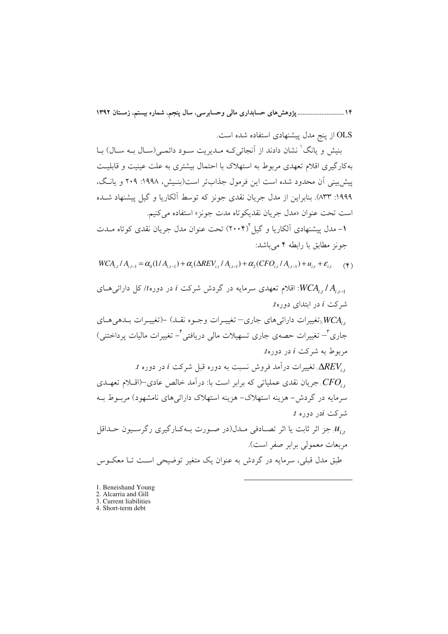۱۴ ........................... پژوهش های حسابداری مالی وحسابرسی، سال پنجم، شماره بیستم، زمستان ۱۳۹۲

OLS از ينج مدل پيشنهادي استفاده شده است.

بنیش و یانگ' نشان دادند از آنجائیکه مـدیریت سـود دائمـی(سـال بـه سـال) بـا بهکار گیری اقلام تعهدی مربوط به استهلاک با احتمال بیشتری به علت عینیت و قابلیت پیش بینی آن محدود شده است این فرمول جذابتر است(بنیش، ۱۹۹۸: ۲۰۹ و پانگ، ۱۹۹۹: ۸۳۳). بنابراین از مدل جریان نقدی جونز که توسط آلکاریا و گیل پیشنهاد شــده است تحت عنوان «مدل جريان نقديكو تاه مدت جونز» استفاده مي كنيم.

۱– مدل پیشنهادی اَلکاریا و گیل ۲۰۰۴) تحت عنوان مدل جریان نقدی کوتاه مــدت جونز مطابق یا رابطه ۴ مے باشد:

 $WCA_{i,t} / A_{i,t-1} = \alpha_0(1/A_{i,t-1}) + \alpha_1(\Delta REV_{i,t} / A_{i,t-1}) + \alpha_2(CFO_{i,t} / A_{i,t-1}) + u_{i,t} + \varepsilon_{i,t}$  (\*)

اقلام تعهدی سرمایه در گردش شرکت i در دوره $t$ / کل دارائی هـای: $WCA_{i,t}/A_{i,t-1}$  $t$ شرکت  $i$  در ابتدای دوره , WCA رتغییرات دارائی های جاری– تغییـرات وجـوه نقـد) –(تغییـرات بـدهی هـای جاری ٔ– تغییرات حصهی جاری تسهیلات مالی دریافتی ٔ– تغییرات مالیات پرداختنی) مربوط به شرکت i در دورهt.  $t$  : نغییرات درآمد فروش نسبت به دوره قبل شرکت  $i$  در دوره $\Delta REV_{i}$ جریان نقدی عملیاتی که برابر است با: درآمد خالص عادی $(-$ اقــلام تعهــدی $CFO_{i},$ سرمایه در گردش – هزینه استهلاک– هزینه استهلاک دارائیهای نامشهود) مربـوط بــه  $t$  شرکت  $i$ در دوره جز اثر ثابت یا اثر تصـادفی مـدل(در صـورت بـهکـارگیری رگرسـیون حـداقل !! مربعات معمولي برابر صفر است). طبق مدل قبلی، سرمایه در گردش به عنوان یک متغیر توضیحی است تــا معکــوس

1. Beneishand Young

<sup>2.</sup> Alcarria and Gill 3. Current liabilities

<sup>4.</sup> Short-term debt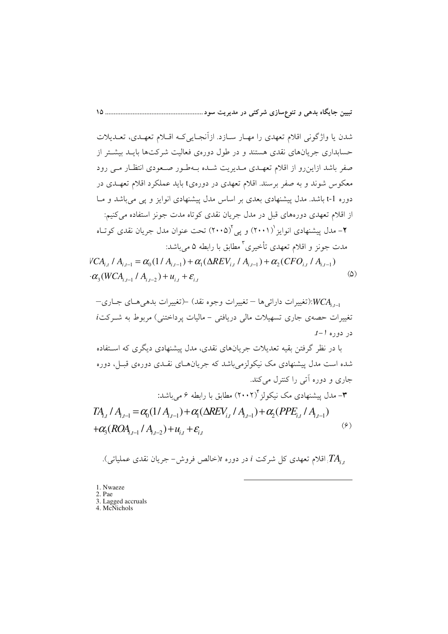شدن یا واژگونی اقلام تعهدی را مهـار سـازد. ازآنجـایی کـه اقـلام تعهـدی، تعـدیلات حسابداری جریانهای نقدی هستند و در طول دوروی فعالیت شرکتها بایــد بیشــتر از صفر باشد ازاین رو از اقلام تعهـدی مـدیریت شـده بـهطـور صـعودی انتظـار مـی رود معکوس شوند و به صفر برسند. اقلام تعهدی در دورهیt باید عملکرد اقلام تعهـدی در دوره t-1 باشد. مدل پیشنهادی بعدی بر اساس مدل پیشنهادی انوایز و پی می باشد و مـا از اقلام تعهدی دورههای قبل در مدل جریان نقدی کوتاه مدت جونز استفاده می کنیم: ۲- مدل پیشنهادی انوایز ``(۲۰۰۱) و پی ``(۲۰۰۵) تحت عنوان مدل جریان نقدی کوتـاه مدت جونز و اقلام تعهدي تأخيري ٌ مطابق با رابطه ۵ مي باشد:

 $VCA_{i,t}$  /  $A_{i,t-1} = \alpha_0(1/A_{i,t-1}) + \alpha_1(\Delta REV_{i,t}/A_{i,t-1}) + \alpha_2(CFO_{i,t}/A_{i,t-1})$  $-\alpha_{3}(WCA_{i,t-1} / A_{i,t-2}) + u_{i,t} + \varepsilon_{i,t}$  $\omega$ 

با در نظر گرفتن بقیه تعدیلات جریانهای نقدی، مدل پیشنهادی دیگری که اسـتفاده شده است مدل پیشنهادی مک نیکولزمی باشد که جریانهـای نقـدی دورهی قبـل، دوره جاري و دوره اَتي را کنترل مي کند.

$$
\mathcal{A}_{i,t} \mid A_{i,t-1} = \alpha_0 (1 \mid A_{i,t-1}) + \alpha_1 (\Delta REV_{i,t} \mid A_{i,t-1}) + \alpha_2 (PPE_{i,t} \mid A_{i,t-1})
$$
\n
$$
+ \alpha_3 (ROA_{i,t-1} \mid A_{i,t-2}) + u_{i,t} + \varepsilon_{i,t} \tag{9}
$$

. اقلام تعهدی کل شرکت i در دوره  $t$ (خالص فروش– جریان نقدی عملیاتی). $TA_{i.t}$ 

<sup>1.</sup> Nwaeze

<sup>2.</sup> Pae

<sup>3.</sup> Lagged accruals 4. McNichols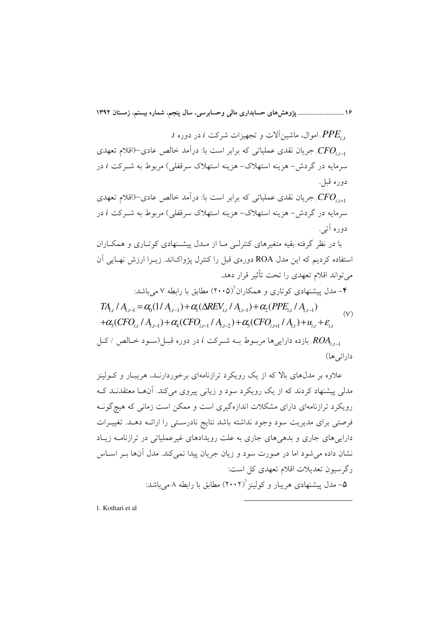$t$  . PPE, اموال، ماشین آلات و تجهیزات شرکت  $i$  در دوره. جریان نقدی عملیاتی که برابر است با: درآمد خالص عادی $(-CFO_{i-1})$ سرمایه در گردش- هزینه استهلاک- هزینه استهلاک سرقفلی) مربوط به شــرکت i در دوره قبل.

جریان نقدی عملیاتی که برابر است با: درآمد خالص عادی $(-CFO_{i\,\,\scriptscriptstyle\rm F1})$ سرمایه در گردش- هزینه استهلاک- هزینه استهلاک سرقفلی) مربوط به شــرکت i در دو ده آتي.

یا در نظر گرفته یقیه متغیرهای کنترلی میا از میدل پیشینهادی کوتیاری و همکیاران استفاده کردیم که این مدل ROA دورهی قبل را کنترل پژواکاند. زیــرا ارزش نهــایی آن می تواند اقلام تعهدی را تحت تأثیر قرار دهد.

۴– مدل پیشنهادی کوتاری و همکاران (۲۰۰۵) مطابق با رابطه ۷ می باشد:

$$
TA_{i,t} / A_{i,t-1} = \alpha_0 (1 / A_{i,t-1}) + \alpha_1 (\Delta REV_{i,t} / A_{i,t-1}) + \alpha_2 (PPE_{i,t} / A_{i,t-1})
$$
  
+ $\alpha_3 (CFO_{i,t} / A_{i,t-1}) + \alpha_4 (CFO_{i,t-1} / A_{i,t-2}) + \alpha_5 (CFO_{i,t+1} / A_{i,t}) + u_{i,t} + \varepsilon_{i,t}$  (V)

بازده داراییها مربوط بــه شــرکت i در دوره قبـــ| (ســود خــالص / کــا ) بازده داراییها مربــوط بــه شــرکت i دارائے ِها)

علاوه بر مدلهای بالا که از یک رویکرد ترازنامهای برخوردارنـد، هریبـار و کــولینز مدلی پیشنهاد کردند که از یک رویکرد سود و زیانی پیروی میکند. آنها معتقدنـد کـه رویکرد ترازنامهای دارای مشکلات اندازهگیری است و ممکن است زمانی که هیچگونـه فرصتی برای مدیریت سود وجود نداشته باشد نتایج نادرستی را ارائـه دهـد. تغییـرات داراییهای جاری و بدهیهای جاری به علت رویدادهای غیرعملیاتی در ترازنامـه زیـاد نشان داده میشود اما در صورت سود و زیان جریان پیدا نمی کند. مدل آنها بـر اسـاس رگرسیون تعدیلات اقلام تعهدی کل است: ۵– مدل پیشنهادی هریبار و کولینز ۲۰۰۲) مطابق با رابطه ۸ میباشد:

1. Kothari et al.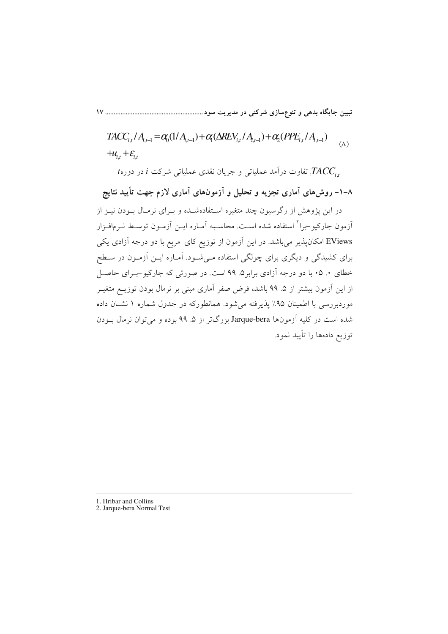$$
TACC_{i,t}/A_{i,t-1} = \alpha_0(1/A_{i,t-1}) + \alpha_1(\Delta REV_{i,t}/A_{i,t-1}) + \alpha_2(PPE_{i,t}/A_{i,t-1})
$$
  
+  $u_{i,t} + \varepsilon_{i,t}$  (A)

t تفاوت درآمد عملیاتی و جریان نقدی عملیاتی شرکت i در دوره $I$ 

۸–۱– روش۵ای آماری تجزیه و تحلیل و آزمونهای آماری لازم جهت تأیید نتایج در این پژوهش از رگرسیون چند متغیره استفادهشـده و بـرای نرمـال بـودن نیـز از آزمون جارکیو –برا<sup>۲</sup> استفاده شده است. محاسـبه آمـاره ایــن آزمــون توســط نــرمافــزار EViews امکانپذیر میباشد. در این آزمون از توزیع کای-مربع با دو درجه آزادی یکی برای کشیدگی و دیگری برای چولگی استفاده مـیشـود. آمـاره ایــن آزمـون در سـطح خطای ۰. ۰۵ با دو درجه آزادی برابر۵. ۹۹ است. در صورتی که جارکیو-بـرای حاصـل از این آزمون بیشتر از ۵. ۹۹ باشد، فرض صفر آماری مبنی بر نرمال بودن توزیــع متغیــر موردبررسی با اطمینان ۹۵٪ پذیرفته می شود. همانطورکه در جدول شماره ۱ نشــان داده شده است در کلیه آزمون(ها Jarque-bera بزرگتر از ۵ـ ۹۹ بوده و می توان نرمال بــودن توزيع دادهها را تأييد نمود.

<sup>1.</sup> Hribar and Collins

<sup>2.</sup> Jarque-bera Normal Test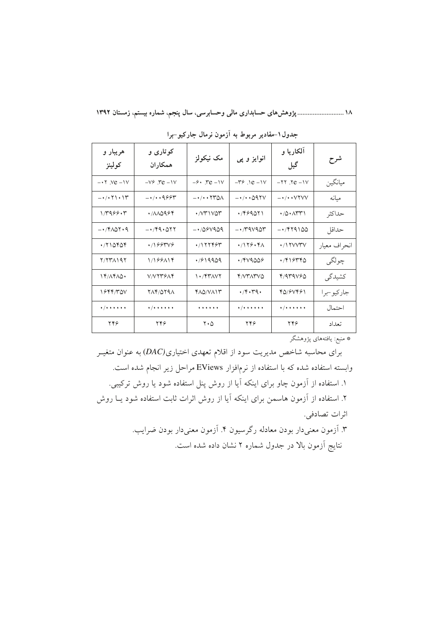۱۸ ............................... پژوهشهای حسابداری مالی وحسابرسی، سال پنجم، شماره بیستم، زمستان ۱۳۹۲

| هريبار و<br>كولينز                                      | کوتاری و<br>همكاران     | مک نیکولز                                                                | انوایز و پی                                      | آلکاریا و<br>گیل                                              | شرح          |
|---------------------------------------------------------|-------------------------|--------------------------------------------------------------------------|--------------------------------------------------|---------------------------------------------------------------|--------------|
| $-17$ . Ye $-19$                                        | $-V^{\circ}$ . Te $-V$  | $-9.$ $\text{re} -1 \text{V}$                                            | $-79.1e - 1V$                                    | $-77.7e - 1V$                                                 | ميانگين      |
| $-\cdot/\cdot$ $\uparrow\setminus\cdot\uparrow\uparrow$ | $-\cdot/\cdot\cdot9994$ | $ \cdot$ $/$ $\cdot$ $\cdot$ $\uparrow$ $\uparrow$ $\uparrow$ $\uparrow$ | $ \cdot$ $\prime$ $\cdot$ $\triangle$ 9.7 $\vee$ | $-\cdot/\cdot\cdot$ $VYVV$                                    | ميانه        |
| 17999.5                                                 | ۰/۸۸۵۹۶۴                | $\cdot$ / $\vee$ $\uparrow$ $\vee$ $\circ$ $\uparrow$                    | .799011                                          | $\cdot$ /0 $\cdot$ $\wedge$ $\wedge$ $\wedge$                 | حداكثر       |
| $-1401.9$                                               | $-149.011$              | $-1/08V909$                                                              | $- \cdot$ /۳۹۷۹۵۳                                | $-14100$                                                      | حداقل        |
| $\cdot$ /۲۱۵۴۵۴                                         | $\cdot$ /166374         | $\cdot$ /۱۲۲۴۶۳                                                          | $\cdot$ /179 $\cdot$ 4 $\wedge$                  | $\cdot$ / ۱ ۲ $V$ $V$ ۳ $V$                                   | انحراف معيار |
| Y/YYAYAY                                                | 1/199114                | .7819909                                                                 | $\cdot$ /۴۷۹۵۵۶                                  | ۰/۴۱۶۳۴۵                                                      | چولگي        |
| 14/14/10.                                               | V/VY۳۶۸۴                | $\mathcal{N}$                                                            | <b>Y/VTATVO</b>                                  | Y/4Y4V50                                                      | كشيدگى       |
| 1644/TQV                                                | 714/0791                | YAQ/VAIT                                                                 | $\cdot$ /۴ $\cdot$ ۳۹ $\cdot$                    | 40/67461                                                      | جاركيو –برا  |
| $\frac{1}{2}$                                           | $\frac{1}{2}$           | .                                                                        | $\bullet$ / + + + + + +                          | $\bullet$ / $\bullet$ $\bullet$ $\bullet$ $\bullet$ $\bullet$ | احتمال       |
| ۲۴۶                                                     | ۲۴۶                     | $Y \cdot \Delta$                                                         | ۲۴۶                                              | ۲۴۶                                                           | تعداد        |

جدول۱–مقادیر مربوط به آزمون نرمال جارکیو–برا

\* منبع: يافتههاي پژوهشگر

برای محاسبه شاخص مدیریت سود از اقلام تعهدی اختیاری(DAC) به عنوان متغیـر وابسته استفاده شده که با استفاده از نرمافزار EViews مراحل زیر انجام شده است. ۱. استفاده از آزمون چاو برای اینکه آیا از روش پنل استفاده شود یا روش ترکیبی. ۲. استفاده از آزمون هاسمن برای اینکه آیا از روش اثرات ثابت استفاده شود یــا روش اثرات تصادفي. ۳. آزمون معنىدار بودن معادله رگرسيون ۴. آزمون معنىدار بودن ضرايب.

نتایج آزمون بالا در جدول شماره ۲ نشان داده شده است.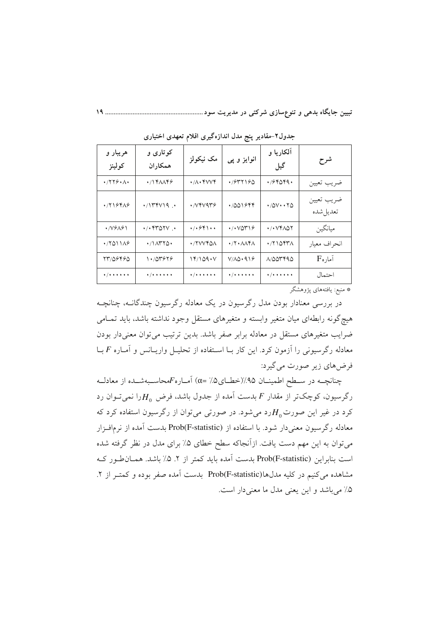| هريبار و<br>كولينز                                            | کوتاری و<br>همكار ان            | مک نیکولز                                         | انوایز و پی                                         | آلکاریا و<br>گیل                  | شرح                            |
|---------------------------------------------------------------|---------------------------------|---------------------------------------------------|-----------------------------------------------------|-----------------------------------|--------------------------------|
| $\cdot$ /۲۲۶ $\cdot$ ۸ $\cdot$                                | $\cdot$ /۱۴۸۸۴۶                 | $\cdot$ // $\cdot$ $\ast$ $\vee$ $\vee$ $\ast$    | 4/977190                                            | ۰٬۶۴۵۴۹۰                          | ضريب تعيين                     |
| .7194A9                                                       | $\cdot$ /\\\\\\                 | ۷۴۷۹۳۶ •                                          | ۱/۵۵۱۶۴۴                                            | $\cdot$ /0 $V \cdot \cdot \tau$ 0 | ضريب تعيين<br>تعديل شده        |
| $\cdot$ /VSAS\                                                | $\cdot$ / $\cdot$ ۴۳۵۲۷ $\cdot$ | $\cdot$ / $\cdot$ $\circ$ $\circ$ $\cdot$ $\cdot$ | $\cdot$ / $\cdot$ $\vee$ $\circ$ $\uparrow$ $\circ$ | ۰/۰۷۴۸۵۲                          | ميانگين                        |
| $\cdot$ $(5011)$                                              | $\cdot$ /\ $\wedge$ ۳۲۵ $\cdot$ | ./ TVVYQA                                         | $\cdot$ /۲ $\cdot$ ۸۸۴۸                             | $\cdot$ /۲۱۵۴۳۸                   | انحراف معيار                   |
| 13706460                                                      | ۱۰/۵۳۶۲۶                        | 14/109 • V                                        | $V/AQ \cdot 919$                                    | 1/000090                          | $F_{\circ}$ اَمار              |
| $\bullet$ / $\bullet$ $\bullet$ $\bullet$ $\bullet$ $\bullet$ | */******                        | */******                                          | */******                                            | */******                          | احتمال                         |
|                                                               |                                 |                                                   |                                                     |                                   | عاجا والمعربة المستبقة كالمتحا |

جدول۲-مقادیر پنج مدل اندازهگیری اقلام تعهدی اختیاری

\* منبع: یافتههای پژوهشگر

در بررسی معنادار بودن مدل رگرسیون در یک معادله رگرسیون چندگانــه، چنانچــه هیچگونه رابطهای میان متغیر وابسته و متغیرهای مستقل وجود نداشته باشد، باید تمـامی ضرایب متغیرهای مستقل در معادله برابر صفر باشد. بدین ترتیب می توان معنی دار بودن معادله رگرسیونی را آزمون کرد. این کار بــا اســتفاده از تحلیــل واریــانس و آمــاره F بــا فرض های زیر صورت می گیرد:

چنانچــه در ســطح اطمینــان ۹۵٪(خطــای۵٪ =α) آمــاره $F$ محاســبهشــده از معادلــه رگرسیون، کوچکتر از مقدار  $F$  بدست آمده از جدول باشد، فرض  $H_0$ را نمیتوان رد کرد در غیر این صورت $H_{_0}$ رد میشود. در صورتی میتوان از رگرسیون استفاده کرد که معادله رگرسیون معنیدار شود. با استفاده از Prob(F-statistic) بدست آمده از نرمافـزار می توان به این مهم دست یافت. ازآنجاکه سطح خطای ۵٪ برای مدل در نظر گرفته شده است بنابراین (Prob(F-statistic بدست آمده باید کمتر از ۲. ۵٪ باشد. همـان طـور کـه مشاهده می کنیم در کلیه مدلها(Prob(F-statistic بدست آمده صفر بوده و کمتـر از ۲. ۵٪ میباشد و این یعنی مدل ما معنی دار است.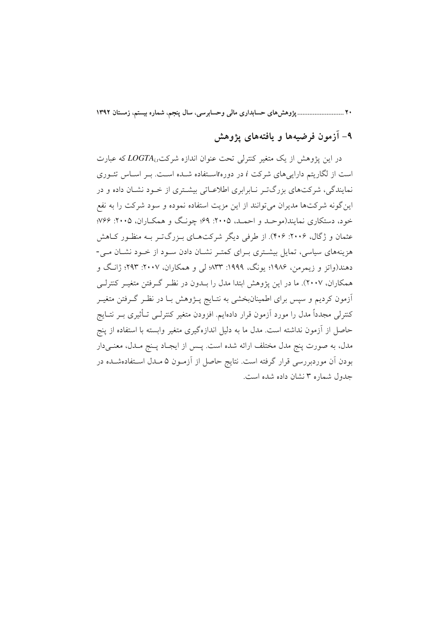۲۰ ................................ یژوهش های حسابداری مالی وحسابرسی، سال ینجم، شماره بیستم، زمستان ۱۳۹۲

# ۹- آزمون فرضیهها و یافتههای پژوهش

در این پژوهش از یک متغیر کنترلی تحت عنوان اندازه شرکت LOGTA که عبارت است از لگاریتم داراییهای شرکت i در دورهtاستفاده شده است. بـر اسـاس تئــوری نمایندگی، شرکتهای بزرگتـر نــابرابری اطلاعــاتی بیشــتری از خــود نشــان داده و در این گونه شرکتها مدیران می توانند از این مزیت استفاده نموده و سود شرکت را به نفع خود، دستکاري نمايند(موحـد و احمـد، ۲۰۰۵: ۶۹؛ چونـگ و همکـاران، ۲۰۰۵: ۷۶۶؛ عثمان و ژگال، ۲۰۰۶: ۴۰۶). از طرفی دیگر شرکتهای بـزرگتـر بـه منظـور کـاهش هزینههای سیاسی، تمایل بیشتری بـرای کمتـر نشـان دادن سـود از خـود نشـان مـی-دهند(واتز و زیمرمن، ۱۹۸۶؛ یونگ، ۱۹۹۹: ۸۳۳؛ لی و همکاران، ۲۰۰۷: ۲۹۳؛ ژانگ و همکاران، ۲۰۰۷). ما در این یژوهش ابتدا مدل را بــدون در نظـر گــرفتن متغیــر کنترلــی آزمون کردیم و سپس برای اطمینانبخشی به نتـایج پــژوهش بـا در نظـر گــرفتن متغیــر کنترلی مجدداً مدل را مورد آزمون قرار دادهایم. افزودن متغیر کنترلــی تــأثیری بــر نتــایج حاصل از آزمون نداشته است. مدل ما به دلیل اندازهگیری متغیر وابسته با استفاده از پنج مدل، به صورت پنج مدل مختلف ارائه شده است. پــس از ايجــاد پــنج مــدل، معنــی۱دار بودن آن موردبررسی قرار گرفته است. نتایج حاصل از آزمـون ۵ مـدل اســتفادهشــده در حدول شماره ۳ نشان داده شده است.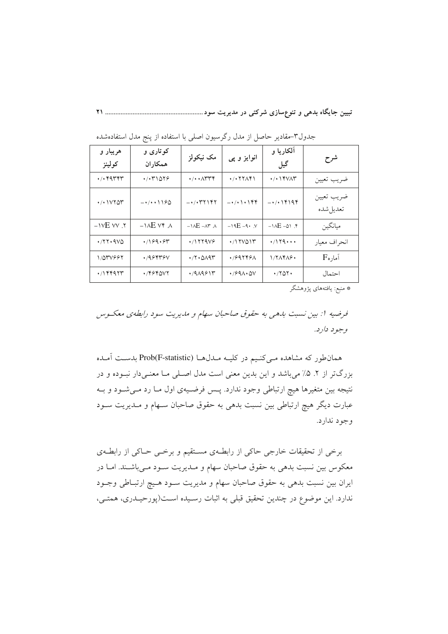| هريبار و<br>كولينز                      | کوتاری و<br>همكار ان              | مک نیکولز                                                        | انوایز و پی                                                       | آلکاریا و<br>گیل                                     | شرح                       |
|-----------------------------------------|-----------------------------------|------------------------------------------------------------------|-------------------------------------------------------------------|------------------------------------------------------|---------------------------|
| $\cdot$ / $\cdot$ $*$ $*$ $*$ $*$       | $\cdot$ / $\cdot$ $\uparrow$ 1078 | $\cdot/\cdot \cdot \wedge \tau \tau$                             | $\cdot$ / $\cdot$ $\cdot$ $\cdot$ $\cdot$ $\cdot$ $\cdot$ $\cdot$ | $\cdot$ / $\cdot$ / $\Upsilon$ / $\wedge$ $\Upsilon$ | ضريب تعيين                |
| $\cdot$ / $\cdot$ $\vee$ $\vee$ $\circ$ | $-1$ $(0.190$                     | $ \cdot$ $/$ $\cdot$ $\uparrow$ $\uparrow$ $\uparrow$ $\uparrow$ | $-1$ . $\cdot$ $\cdot$ $\cdot$ $\cdot$ $\cdot$ $\cdot$            | $-1/1194$                                            | ضريب تعيين<br>تعديل شده   |
| $-1$ י. אי $E$                          | $-\lambda E Vf$ $\Lambda$         | $-\lambda E - \lambda r$ $\lambda$                               | $-19E - 9.7$                                                      | $-1AE - 01.5$                                        | ميانگين                   |
| $\cdot$ /۲۲۰۹۷۵                         | .789.84                           | $\cdot$ /1779 $\vee$                                             | (1500)                                                            | $\cdot$ /179                                         | انحراف معيار              |
| 1/057995                                | ۰/۹۶۴۳۶۷                          | $\cdot$ $\gamma$ $\cdot$ $\alpha$ $\gamma$                       | ٬/۶۹۲۴۶۸                                                          | $1/7\Lambda f\Lambda f$ .                            | $F_{\mathfrak{o}}$ اًماره |
| $\cdot$ /۱۴۴۹۲۳                         | ۰/۴۶۴۵۷۲                          | $4/9$ $A99$                                                      | $\cdot$ /991 $\cdot$ ۵۷                                           | $\cdot$ /۲۵۲۰                                        | احتمال                    |

جدول٣-مقادير حاصل از مدل رگرسيون اصلي با استفاده از پنج مدل استفادهشده

\* منبع: يافتههاى پژوهشگر

فرضيه 1: بين نسبت بارهي به حقوق صاحبان سهام و ماريريت سود رابطهي معكسوس وجود دارد.

همان طور که مشاهده مـیکنـیم در کلیـه مـدلهـا (Prob(F-statistic بدسـت آمـده بزرگتر از ۲. ۵٪ میباشد و این بدین معنی است مدل اصلی مـا معنـیدار نبـوده و در نتیجه بین متغیرها هیچ ارتباطی وجود ندارد. پـس فرضـیهی اول مـا رد مـیشـود و بـه عبارت دیگر هیچ ارتباطی بین نسبت بدهی به حقوق صاحبان سـهام و مـدیریت سـود وجود ندارد.

برخی از تحقیقات خارجی حاکی از رابطـهی مسـتقیم و برخـی حـاکی از رابطـهی معکوس بین نسبت بدهی به حقوق صاحبان سهام و مـدیریت سـود مـیباشـند. امـا در ایران بین نسبت بدهی به حقوق صاحبان سهام و مدیریت سـود هـیچ ارتبـاطی وجـود ندارد. این موضوع در چندین تحقیق قبلی به اثبات رسـیده اسـت(پورحیـدری، همتـی،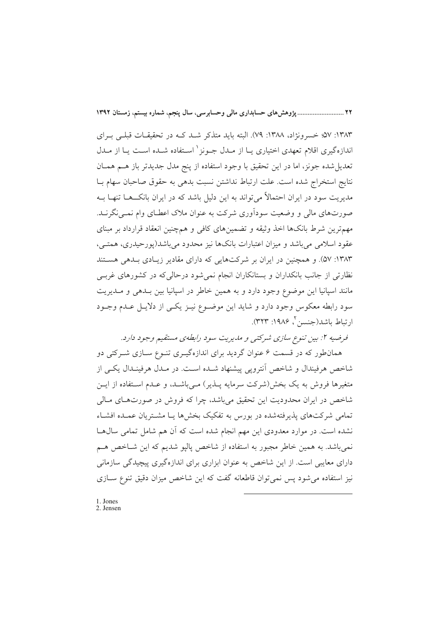٢٢ ............................ يژوهش هاي حسابداري مالي وحسابرسي، سال ينجم، شماره بيستم، زمستان ١٣٩٢

۱۳۸۳: ۵۷؛ خسرونژاد، ۱۳۸۸: ۷۹). البته باید متذکر شـد کـه در تحقیقـات قبلـی بـرای اندازهگیری اقلام تعهدی اختیاری یــا از مــدل جــونز <sup>۱</sup> اســتفاده شــده اســت یــا از مــدل تعدیل شده جونز، اما در این تحقیق با وجود استفاده از پنج مدل جدیدتر باز هـم همـان نتايج استخراج شده است. علت ارتباط نداشتن نسبت بدهي به حقوق صاحبان سهام بــا مدیریت سود در ایران احتمالاً میتواند به این دلیل باشد که در ایران بانکـــهــا تنهــا بــه صورتهای مالی و وضعیت سودآوری شرکت به عنوان ملاک اعطـای وام نمــی نگرنــد. مهمترین شرط بانکها اخذ وثیقه و تضمینهای کافی و همچنین انعقاد قرارداد بر مبنای عقود اسلامی می باشد و میزان اعتبارات بانکها نیز محدود می باشد(پورحیدری، همتـی، ۱۳۸۳: ۵۷). و همچنین در ایران بر شرکتهایی که دارای مقادیر زیـادی بـدهی هسـتند نظارتی از جانب بانکداران و بستانکاران انجام نمی شود درحالی که در کشورهای غربے مانند اسپانیا این موضوع وجود دارد و به همین خاطر در اسپانیا بین بـدهی و مـدیریت سود رابطه معکوس وجود دارد و شاید این موضـوع نیـز یکـی از دلایـل عـدم وجـود ارتباط باشد(جنسن ٌ، ۱۹۸۶: ۳۲۳).

فرضيه ٢: بين تنوع سازي شركتي و مديريت سود رابطهي مستقيم وجود دارد.

همانطور که در قسمت ۶ عنوان گردید برای اندازهگیـری تنـوع سـازی شـرکتی دو شاخص هرفیندال و شاخص اَنترویی پیشنهاد شــده اسـت. در مــدل هرفینــدال یکــی از متغیرها فروش به یک بخش(شرکت سرمایه پــذیر) مــیباشــد، و عــدم اســتفاده از ایــن شاخص در ایران محدودیت این تحقیق میباشد، چرا که فروش در صورتهای مـالی تمامی شرکتهای پذیرفتهشده در بورس به تفکیک بخش ها پیا مشتریان عمیده افشیاء نشده است. در موارد معدودی این مهم انجام شده است که آن هم شامل تمامی سال ها نمي باشد. به همين خاطر مجبور به استفاده از شاخص پاليو شديم كه اين شــاخص هــم دارای معایبی است. از این شاخص به عنوان ابزاری برای اندازهگیری پیچیدگی سازمانی نیز استفاده می شود پس نمی توان قاطعانه گفت که این شاخص میزان دقیق تنوع ســازی

1. Jones 2. Jensen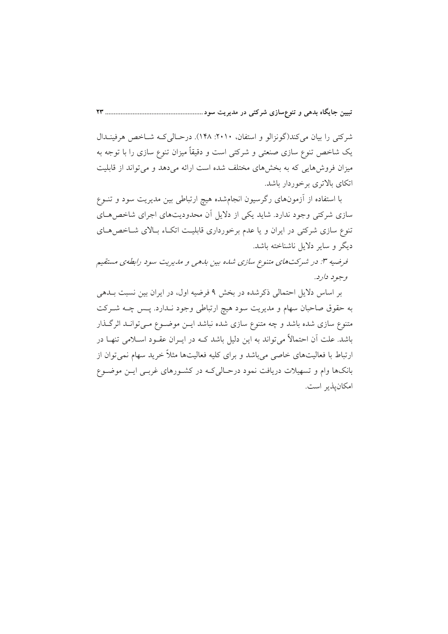شرکتی را بیان می کند(گونزالو و استفان، ۲۰۱۰: ۱۴۸). درحـالی کـه شــاخص هرفینــدال یک شاخص تنوع سازی صنعتی و شرکتی است و دقیقاً میزان تنوع سازی را با توجه به میزان فروشهایی که به بخشهای مختلف شده است ارائه می دهد و می تواند از قابلیت اتکای بالاتری برخوردار باشد.

با استفاده از آزمونهای رگرسیون انجامشده هیچ ارتباطی بین مدیریت سود و تنــوع سازی شرکتی وجود ندارد. شاید یکی از دلایل آن محدودیتهای اجرای شاخص هـای تنوع سازی شرکتی در ایران و یا عدم برخورداری قابلیت اتکIء بـالای شــاخص هــای ديگر و ساير دلايل ناشناخته باشد.

فرضیه ۳: در شرکتهای متنوع سازی شده بین بدهی و مدیریت سود رابطهی مستقیم وجود دارد.

بر اساس دلایل احتمالی ذکرشده در بخش ۹ فرضیه اول، در ایران بین نسبت بـدهی به حقوق صاحبان سهام و مدیریت سود هیچ ارتباطی وجود نـدارد. پـس چـه شـرکت متنوع سازی شده باشد و چه متنوع سازی شده نباشد ایــن موضــوع مــیتوانــد اثرگــذار باشد. علت اّن احتمالاً می تواند به این دلیل باشد کــه در ایــران عقــود اســلامی تنهــا در ارتباط با فعالیتهای خاصی میباشد و برای کلیه فعالیتها مثلاً خرید سهام نمی توان از .<br>بانکها وام و تسهیلات دریافت نمود درحـال<sub>ی</sub>کـه در کشـورهای غربـی ایــن موضــوع امكان يذير است.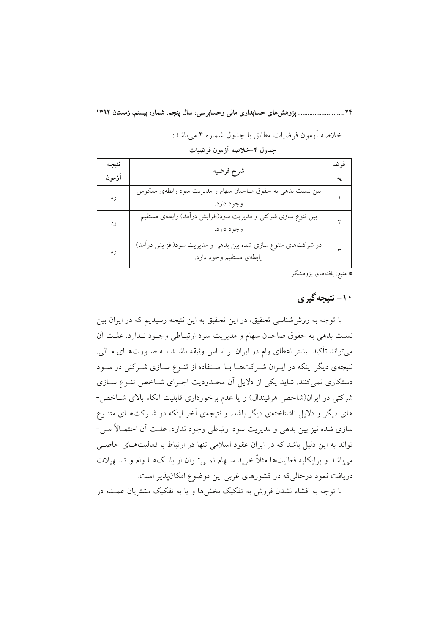خلاصه آزمون فرضيات مطابق با جدول شماره ۴ مي باشد:

| نتيجه<br>آزمون | شرح فرضيه                                                                                 | فرضه |
|----------------|-------------------------------------------------------------------------------------------|------|
| رد             | بین نسبت بدهی به حقوق صاحبان سهام و مدیریت سود رابطهی معکوس<br>وجود دارد.                 |      |
| ر د            | بین تنوع سازی شرکتی و مدیریت سود(افزایش درآمد) رابطهی مستقیم<br>وجود دارد.                |      |
| ر د            | در شرکتهای متنوع سازی شده بین بدهی و مدیریت سود(افزایش درآمد)<br>رابطهى مستقيم وجود دارد. |      |

#### جدول ۴-خلاصه آزمون فرضيات

\* منبع: يافتههاى پژوهشگر

# ۱۰- نتیجه گیری

با توجه به روششناسی تحقیق، در این تحقیق به این نتیجه رسیدیم که در ایران بین نسبت بدهي به حقوق صاحبان سهام و مديريت سود ارتبـاطي وجـود نـدارد. علـت أن می تواند تأکید بیشتر اعطای وام در ایران بر اساس وثیقه باشـد نــه صــورتهــای مــالی. نتیجهی دیگر اینکه در ایـران شـرکتهـا بـا اسـتفاده از تنـوع سـازی شـرکتی در سـود دستکاری نمی کنند. شاید یکی از دلایل آن محـدودیت اجـرای شـاخص تنـوع سـازی شرکتی در ایران(شاخص هرفیندال) و یا عدم برخورداری قابلیت اتکاء بالای شـاخص-های دیگر و دلایل ناشناختهی دیگر باشد. و نتیجهی آخر اینکه در شــرکتهـای متنــوع سازی شده نیز بین بدهی و مدیریت سود ارتباطی وجود ندارد. علـت آن احتمـالاً مـی-تواند به این دلیل باشد که در ایران عقود اسلامی تنها در ارتباط با فعالیتهـای خاصـی میباشد و برایکلیه فعالیتها مثلاً خرید سـهام نمـیتوان از بانـکـهـا وام و تسـهیلات دریافت نمود درحالیکه در کشورهای غربی این موضوع امکانپذیر است. با توجه به افشاء نشدن فروش به تفکیک بخش ها و یا به تفکیک مشتریان عمیده در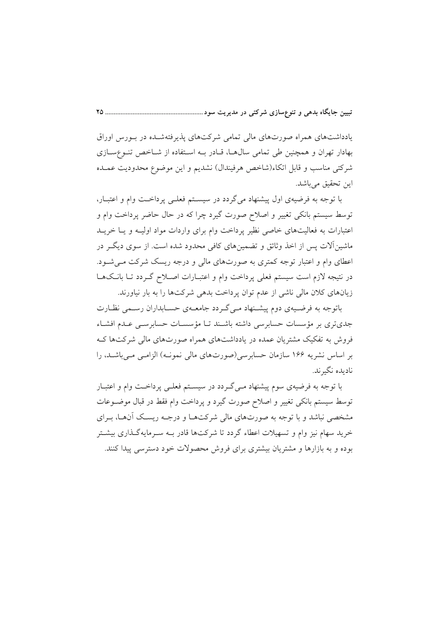یادداشتهای همراه صورتهای مالی تمامی شرکتهای پذیرفتهشـده در بـورس اوراق بهادار تهران و همچنین طی تمامی سال۱ما، قـادر بـه اسـتفاده از شـاخص تنـوعسـازی شرکتی مناسب و قابل اتکاء(شاخص هرفیندال) نشدیم و این موضوع محدودیت عمـده اين تحقيق مي باشد.

با توجه به فرضیهی اول پیشنهاد میگردد در سیستم فعلـی پرداخـت وام و اعتبـار، توسط سیستم بانکی تغییر و اصلاح صورت گیرد چرا که در حال حاضر پرداخت وام و اعتبارات به فعالیتهای خاصی نظیر پرداخت وام برای واردات مواد اولیـه و یـا خریــد ماشینآلات پس از اخذ وثائق و تضمینهای کافی محدود شده است. از سوی دیگ در اعطای وام و اعتبار توجه کمتری به صورتهای مالی و درجه ریسک شرکت مـی شـود. در نتيجه لازم است سيستم فعلى يرداخت وام و اعتبــارات اصــلاح گــردد تــا بانــكـهــا زیانهای کلان مالی ناشی از عدم توان یرداخت پدهی شرکتها را به بار نیاورند.

باتوجه به فرضـیهی دوم پیشـنهاد مـیگـردد جامعـهی حسـابداران رسـمی نظـارت جدیتری بر مؤسسات حسابرسی داشته باشـند تـا مؤسسـات حسابرسـی عـدم افشـاء فروش به تفکیک مشتریان عمده در یادداشتهای همراه صورتهای مالی شرکتها کـه بر اساس نشریه ۱۶۶ سازمان حسابرسی(صورتهای مالی نمونـه) الزامـی مـی باشـد، را نادىدە نگىرند.

با توجه به فرضیهی سوم پیشنهاد مــیگــردد در سیســتم فعلــی پرداخــت وام و اعتبــار توسط سیستم بانکی تغییر و اصلاح صورت گیرد و پرداخت وام فقط در قبال موضـوعات مشخصی نباشد و با توجه به صورتهای مالی شرکتهـا و درجـه ریسـک آنهـا، بـرای خرید سهام نیز وام و تسهیلات اعطاء گردد تا شرکتها قادر بـه سـرمایهگـذاری بیشـتر بوده و به بازارها و مشتریان بیشتری برای فروش محصولات خود دسترسی پیدا کنند.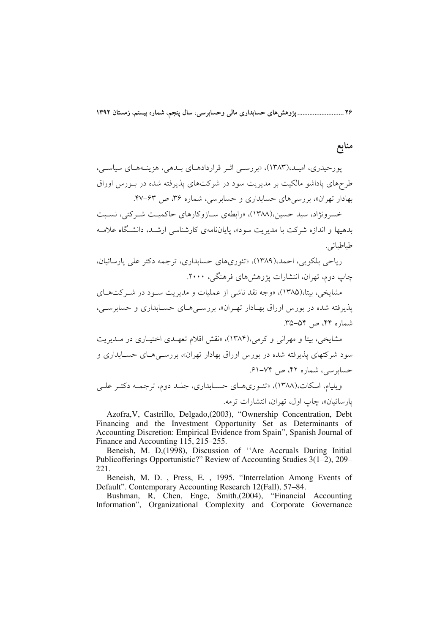۲۶ ........................... پژوهش های حسابداری مالی وحسابرسی، سال پنجم، شماره بیستم، زمستان ۱۳۹۲

# منابع

یورحیدری، امیـد،(۱۳۸۳)، «بررسـی اثـر قراردادهـای بـدهی، هزینـههـای سیاسـی، طرحهای یاداشو مالکیت بر مدیریت سود در شرکتهای پذیرفته شده در بـورس اوراق بهادار تهران»، پررسے های حسابداری و حسابرسے، شماره ۳۶، ص ۶۳-۴۷.

خسرونژاد، سید حسین،(۱۳۸۸)، «رابطهی سـازوکارهای حاکمیـت شـرکتم ِ، نسـبت بدهیها و اندازه شرکت با مدیریت سود»، پایاننامهی کارشناسی ارشید، دانشگاه علامیه طباطبائي.

رياحي بلكويي، احمد،(١٣٨٩)، «تئوري هاي حسابداري، ترجمه دكتر على يارسائيان، چاپ دوم، تهران، انتشارات پژوهش های فرهنگے ، ۲۰۰۰.

مشایخی، بیتا،(۱۳۸۵)، «وجه نقد ناشبی از عملیات و مدیریت سـود در شـرکتهـای يذيوفته شده در بورس اوراق بهـادار تهـران»، بررسـي هـاي حسـابداري و حسابرسـي، شماره ۴۴، ص ۵۴–۳۵.

مشایخی، بیتا و مهرانی و کرمی،(۱۳۸۴)، «نقش اقلام تعهـدی اختیـاری در مـدیریت سود شرکتهای پذیرفته شده در بورس اوراق بهادار تهران»، بررســی۵حـای حســابداری و حسابرسی، شمارہ ۴۲، ص ۷۴–۶۱. ویلیام، اسکات،(۱۳۸۸)، «تئبوری هیای حسیانداری، جلید دوم، ترجمیه دکتیر علی

يارسائيان»، چاپ اول، تهران، انتشارات ترمه.

Azofra, V, Castrillo, Delgado, (2003), "Ownership Concentration, Debt Financing and the Investment Opportunity Set as Determinants of Accounting Discretion: Empirical Evidence from Spain", Spanish Journal of Finance and Accounting 115, 215–255.

Beneish, M. D,(1998), Discussion of "Are Accruals During Initial Publicofferings Opportunistic?" Review of Accounting Studies 3(1–2), 209– 221.

Beneish, M. D., Press, E., 1995. "Interrelation Among Events of Default". Contemporary Accounting Research 12(Fall), 57-84.

Bushman, R, Chen, Enge, Smith, (2004), "Financial Accounting Information", Organizational Complexity and Corporate Governance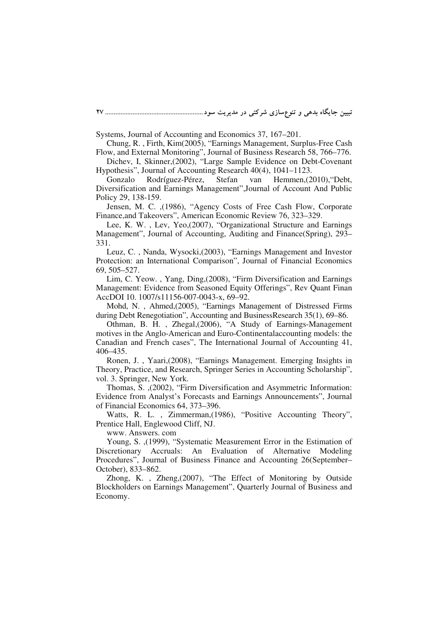Systems, Journal of Accounting and Economics 37, 167–201.

Chung, R. , Firth, Kim(2005), "Earnings Management, Surplus-Free Cash Flow, and External Monitoring", Journal of Business Research 58, 766–776.

Dichev, I, Skinner,(2002), "Large Sample Evidence on Debt-Covenant Hypothesis", Journal of Accounting Research 40(4), 1041–1123.

Gonzalo Rodríguez-Pérez, Stefan van Hemmen,(2010),"Debt, Diversification and Earnings Management",Journal of Account And Public Policy 29, 138-159.

Jensen, M. C. ,(1986), "Agency Costs of Free Cash Flow, Corporate Finance,and Takeovers", American Economic Review 76, 323–329.

Lee, K. W. , Lev, Yeo,(2007), "Organizational Structure and Earnings Management", Journal of Accounting, Auditing and Finance(Spring), 293– 331.

Leuz, C. , Nanda, Wysocki,(2003), "Earnings Management and Investor Protection: an International Comparison", Journal of Financial Economics 69, 505–527.

Lim, C. Yeow. , Yang, Ding,(2008), "Firm Diversification and Earnings Management: Evidence from Seasoned Equity Offerings", Rev Quant Finan AccDOI 10. 1007/s11156-007-0043-x, 69–92.

Mohd, N. , Ahmed,(2005), "Earnings Management of Distressed Firms during Debt Renegotiation", Accounting and BusinessResearch 35(1), 69–86.

Othman, B. H. , Zhegal,(2006), "A Study of Earnings-Management motives in the Anglo-American and Euro-Continentalaccounting models: the Canadian and French cases", The International Journal of Accounting 41, 406–435.

Ronen, J. , Yaari,(2008), "Earnings Management. Emerging Insights in Theory, Practice, and Research, Springer Series in Accounting Scholarship", vol. 3. Springer, New York.

Thomas, S. ,(2002), "Firm Diversification and Asymmetric Information: Evidence from Analyst's Forecasts and Earnings Announcements", Journal of Financial Economics 64, 373–396.

Watts, R. L. , Zimmerman,(1986), "Positive Accounting Theory", Prentice Hall, Englewood Cliff, NJ.

www. Answers. com

Young, S. ,(1999), "Systematic Measurement Error in the Estimation of Discretionary Accruals: An Evaluation of Alternative Modeling Procedures", Journal of Business Finance and Accounting 26(September– October), 833–862.

Zhong, K. , Zheng,(2007), "The Effect of Monitoring by Outside Blockholders on Earnings Management", Quarterly Journal of Business and Economy.